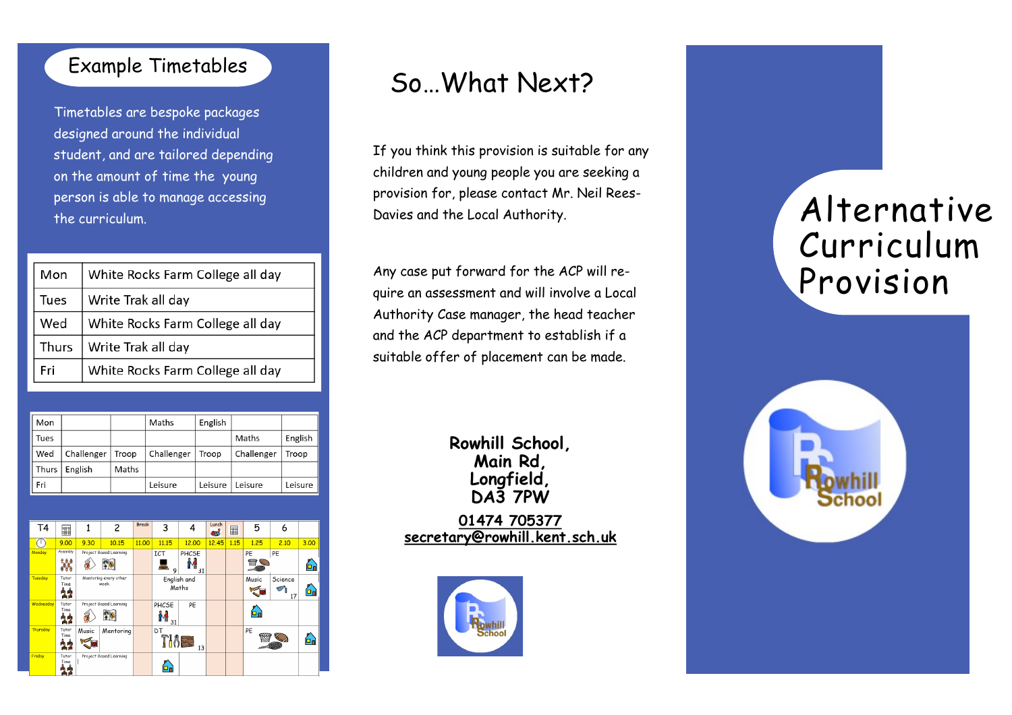### Example Timetables

Timetables are bespoke packages designed around the individual student, and are tailored depending on the amount of time the young person is able to manage accessing the curriculum.

| Mon   | White Rocks Farm College all day |  |  |  |
|-------|----------------------------------|--|--|--|
| Tues  | Write Trak all day               |  |  |  |
| Wed   | White Rocks Farm College all day |  |  |  |
| Thurs | Write Trak all day               |  |  |  |
| Fri   | White Rocks Farm College all day |  |  |  |

| Mon   |            |       | Maths      | English |            |         |
|-------|------------|-------|------------|---------|------------|---------|
| Tues  |            |       |            |         | Maths      | English |
| Wed   | Challenger | Troop | Challenger | Troop   | Challenger | Troop   |
| Thurs | English    | Maths |            |         |            |         |
| Fri   |            |       | Leisure    | Leisure | Leisure    | Leisure |



## So…What Next?

If you think this provision is suitable for any children and young people you are seeking a provision for, please contact Mr. Neil Rees-Davies and the Local Authority.

Any case put forward for the ACP will require an assessment and will involve a Local Authority Case manager, the head teacher and the ACP department to establish if a suitable offer of placement can be made.

> **Rowhill School, Main Rd, Longfield, DA3 7PW**

**[01474 705377](https://www.rowhill.kent.sch.uk/page/01474%20705377) [secretary@rowhill.kent.sch.uk](mailto:secretary@rowhill.kent.sch.uk)**



# Alternative Curriculum Provision